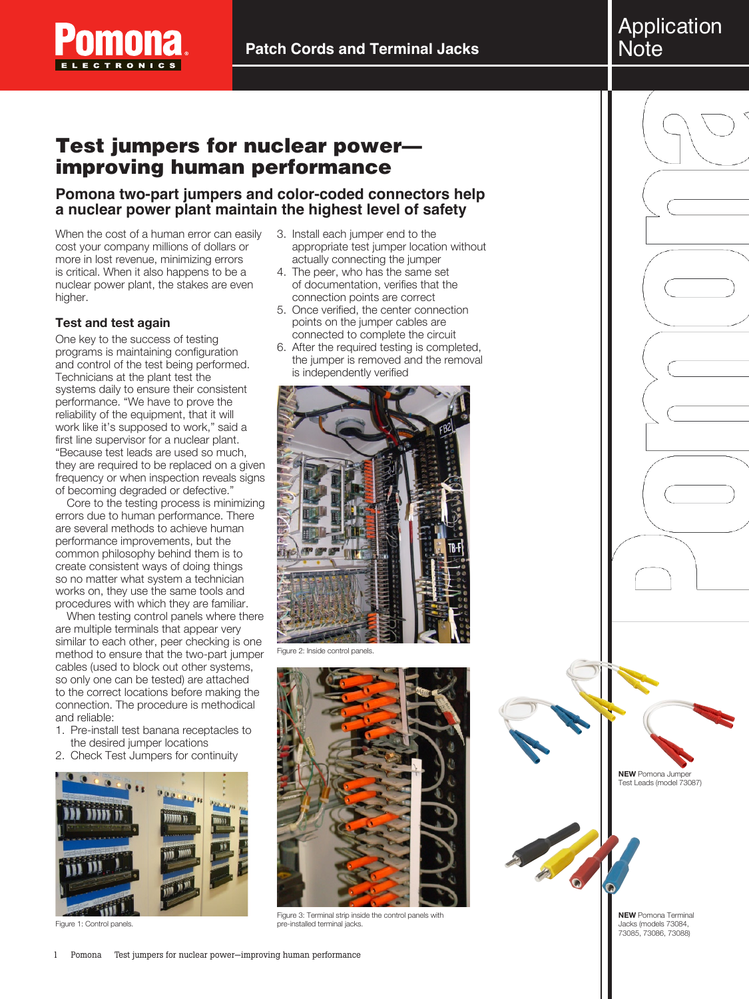

**Patch Cords and Terminal Jacks**

# Test jumpers for nuclear power improving human performance

## **Pomona two-part jumpers and color-coded connectors help a nuclear power plant maintain the highest level of safety**

When the cost of a human error can easily cost your company millions of dollars or more in lost revenue, minimizing errors is critical. When it also happens to be a nuclear power plant, the stakes are even higher.

## **Test and test again**

One key to the success of testing programs is maintaining configuration and control of the test being performed. Technicians at the plant test the systems daily to ensure their consistent performance. "We have to prove the reliability of the equipment, that it will work like it's supposed to work," said a first line supervisor for a nuclear plant. "Because test leads are used so much, they are required to be replaced on a given frequency or when inspection reveals signs of becoming degraded or defective."

Core to the testing process is minimizing errors due to human performance. There are several methods to achieve human performance improvements, but the common philosophy behind them is to create consistent ways of doing things so no matter what system a technician works on, they use the same tools and procedures with which they are familiar.

When testing control panels where there are multiple terminals that appear very similar to each other, peer checking is one method to ensure that the two-part jumper cables (used to block out other systems, so only one can be tested) are attached to the correct locations before making the connection. The procedure is methodical and reliable:

- 1. Pre-install test banana receptacles to the desired jumper locations
- 2. Check Test Jumpers for continuity



Figure 1: Control panels.

- 3. Install each jumper end to the appropriate test jumper location without actually connecting the jumper
- 4. The peer, who has the same set of documentation, verifies that the connection points are correct
- 5. Once verified, the center connection points on the jumper cables are connected to complete the circuit
- 6. After the required testing is completed, the jumper is removed and the removal is independently verified



Figure 2: Inside control panels.



Figure 3: Terminal strip inside the control panels with pre-installed terminal jacks.



**NEW** Pomona Terminal Jacks (models 73084, 73085, 73086, 73088)